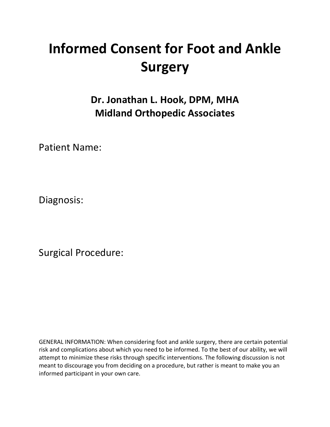# **Informed Consent for Foot and Ankle Surgery**

**Dr. Jonathan L. Hook, DPM, MHA Midland Orthopedic Associates**

Patient Name:

Diagnosis:

Surgical Procedure:

GENERAL INFORMATION: When considering foot and ankle surgery, there are certain potential risk and complications about which you need to be informed. To the best of our ability, we will attempt to minimize these risks through specific interventions. The following discussion is not meant to discourage you from deciding on a procedure, but rather is meant to make you an informed participant in your own care.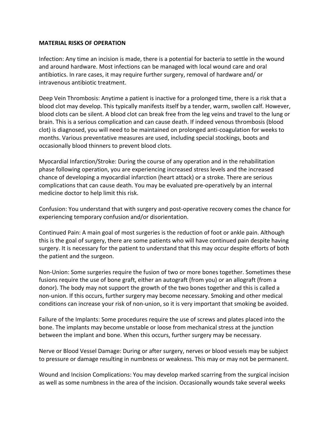#### **MATERIAL RISKS OF OPERATION**

Infection: Any time an incision is made, there is a potential for bacteria to settle in the wound and around hardware. Most infections can be managed with local wound care and oral antibiotics. In rare cases, it may require further surgery, removal of hardware and/ or intravenous antibiotic treatment.

Deep Vein Thrombosis: Anytime a patient is inactive for a prolonged time, there is a risk that a blood clot may develop. This typically manifests itself by a tender, warm, swollen calf. However, blood clots can be silent. A blood clot can break free from the leg veins and travel to the lung or brain. This is a serious complication and can cause death. If indeed venous thrombosis (blood clot) is diagnosed, you will need to be maintained on prolonged anti-coagulation for weeks to months. Various preventative measures are used, including special stockings, boots and occasionally blood thinners to prevent blood clots.

Myocardial Infarction/Stroke: During the course of any operation and in the rehabilitation phase following operation, you are experiencing increased stress levels and the increased chance of developing a myocardial infarction (heart attack) or a stroke. There are serious complications that can cause death. You may be evaluated pre-operatively by an internal medicine doctor to help limit this risk.

Confusion: You understand that with surgery and post-operative recovery comes the chance for experiencing temporary confusion and/or disorientation.

Continued Pain: A main goal of most surgeries is the reduction of foot or ankle pain. Although this is the goal of surgery, there are some patients who will have continued pain despite having surgery. It is necessary for the patient to understand that this may occur despite efforts of both the patient and the surgeon.

Non-Union: Some surgeries require the fusion of two or more bones together. Sometimes these fusions require the use of bone graft, either an autograft (from you) or an allograft (from a donor). The body may not support the growth of the two bones together and this is called a non-union. If this occurs, further surgery may become necessary. Smoking and other medical conditions can increase your risk of non-union, so it is very important that smoking be avoided.

Failure of the Implants: Some procedures require the use of screws and plates placed into the bone. The implants may become unstable or loose from mechanical stress at the junction between the implant and bone. When this occurs, further surgery may be necessary.

Nerve or Blood Vessel Damage: During or after surgery, nerves or blood vessels may be subject to pressure or damage resulting in numbness or weakness. This may or may not be permanent.

Wound and Incision Complications: You may develop marked scarring from the surgical incision as well as some numbness in the area of the incision. Occasionally wounds take several weeks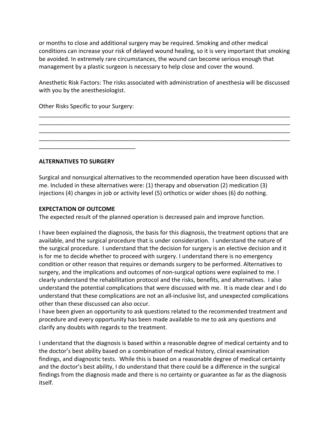or months to close and additional surgery may be required. Smoking and other medical conditions can increase your risk of delayed wound healing, so it is very important that smoking be avoided. In extremely rare circumstances, the wound can become serious enough that management by a plastic surgeon is necessary to help close and cover the wound.

Anesthetic Risk Factors: The risks associated with administration of anesthesia will be discussed with you by the anesthesiologist.

\_\_\_\_\_\_\_\_\_\_\_\_\_\_\_\_\_\_\_\_\_\_\_\_\_\_\_\_\_\_\_\_\_\_\_\_\_\_\_\_\_\_\_\_\_\_\_\_\_\_\_\_\_\_\_\_\_\_\_\_\_\_\_\_\_\_\_\_\_\_\_\_\_\_\_\_\_\_ \_\_\_\_\_\_\_\_\_\_\_\_\_\_\_\_\_\_\_\_\_\_\_\_\_\_\_\_\_\_\_\_\_\_\_\_\_\_\_\_\_\_\_\_\_\_\_\_\_\_\_\_\_\_\_\_\_\_\_\_\_\_\_\_\_\_\_\_\_\_\_\_\_\_\_\_\_\_ \_\_\_\_\_\_\_\_\_\_\_\_\_\_\_\_\_\_\_\_\_\_\_\_\_\_\_\_\_\_\_\_\_\_\_\_\_\_\_\_\_\_\_\_\_\_\_\_\_\_\_\_\_\_\_\_\_\_\_\_\_\_\_\_\_\_\_\_\_\_\_\_\_\_\_\_\_\_ \_\_\_\_\_\_\_\_\_\_\_\_\_\_\_\_\_\_\_\_\_\_\_\_\_\_\_\_\_\_\_\_\_\_\_\_\_\_\_\_\_\_\_\_\_\_\_\_\_\_\_\_\_\_\_\_\_\_\_\_\_\_\_\_\_\_\_\_\_\_\_\_\_\_\_\_\_\_

Other Risks Specific to your Surgery:

\_\_\_\_\_\_\_\_\_\_\_\_\_\_\_\_\_\_\_\_\_\_\_\_\_\_\_\_\_\_

**ALTERNATIVES TO SURGERY**

Surgical and nonsurgical alternatives to the recommended operation have been discussed with me. Included in these alternatives were: (1) therapy and observation (2) medication (3) injections (4) changes in job or activity level (5) orthotics or wider shoes (6) do nothing.

# **EXPECTATION OF OUTCOME**

The expected result of the planned operation is decreased pain and improve function.

I have been explained the diagnosis, the basis for this diagnosis, the treatment options that are available, and the surgical procedure that is under consideration. I understand the nature of the surgical procedure. I understand that the decision for surgery is an elective decision and it is for me to decide whether to proceed with surgery. I understand there is no emergency condition or other reason that requires or demands surgery to be performed. Alternatives to surgery, and the implications and outcomes of non-surgical options were explained to me. I clearly understand the rehabilitation protocol and the risks, benefits, and alternatives. I also understand the potential complications that were discussed with me. It is made clear and I do understand that these complications are not an all-inclusive list, and unexpected complications other than these discussed can also occur.

I have been given an opportunity to ask questions related to the recommended treatment and procedure and every opportunity has been made available to me to ask any questions and clarify any doubts with regards to the treatment.

I understand that the diagnosis is based within a reasonable degree of medical certainty and to the doctor's best ability based on a combination of medical history, clinical examination findings, and diagnostic tests. While this is based on a reasonable degree of medical certainty and the doctor's best ability, I do understand that there could be a difference in the surgical findings from the diagnosis made and there is no certainty or guarantee as far as the diagnosis itself.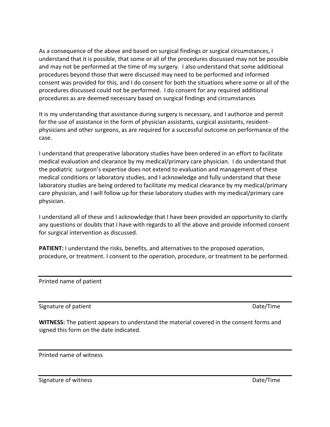As a consequence of the above and based on surgical findings or surgical circumstances, I understand that it is possible, that some or all of the procedures discussed may not be possible and may not be performed at the time of my surgery. I also understand that some additional procedures beyond those that were discussed may need to be performed and informed consent was provided for this, and I do consent for both the situations where some or all of the procedures discussed could not be performed. I do consent for any required additional procedures as are deemed necessary based on surgical findings and circumstances

It is my understanding that assistance during surgery is necessary, and I authorize and permit for the use of assistance in the form of physician assistants, surgical assistants, residentphysicians and other surgeons, as are required for a successful outcome on performance of the case.

I understand that preoperative laboratory studies have been ordered in an effort to facilitate medical evaluation and clearance by my medical/primary care physician. I do understand that the podiatric surgeon's expertise does not extend to evaluation and management of these medical conditions or laboratory studies, and I acknowledge and fully understand that these laboratory studies are being ordered to facilitate my medical clearance by my medical/primary care physician, and I will follow up for these laboratory studies with my medical/primary care physician.

I understand all of these and I acknowledge that I have been provided an opportunity to clarify any questions or doubts that I have with regards to all the above and provide informed consent for surgical intervention as discussed.

**PATIENT:** I understand the risks, benefits, and alternatives to the proposed operation, procedure, or treatment. I consent to the operation, procedure, or treatment to be performed.

Printed name of patient

Signature of patient **Date/Time** 

**WITNESS:** The patient appears to understand the material covered in the consent forms and signed this form on the date indicated.

Printed name of witness

Signature of witness **Date Account Contract Contract Contract Contract Contract Contract Contract Contract Contract Contract Contract Contract Contract Contract Contract Contract Contract Contract Contract Contract Contrac**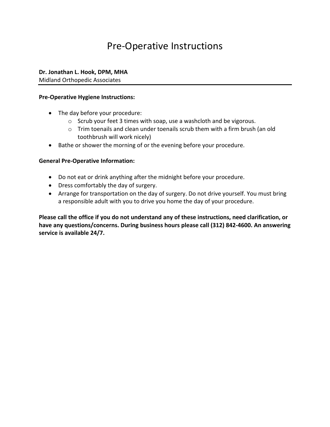# Pre-Operative Instructions

**Dr. Jonathan L. Hook, DPM, MHA** 

Midland Orthopedic Associates

#### **Pre-Operative Hygiene Instructions:**

- The day before your procedure:
	- o Scrub your feet 3 times with soap, use a washcloth and be vigorous.
	- o Trim toenails and clean under toenails scrub them with a firm brush (an old toothbrush will work nicely)
- Bathe or shower the morning of or the evening before your procedure.

# **General Pre-Operative Information:**

- Do not eat or drink anything after the midnight before your procedure.
- Dress comfortably the day of surgery.
- Arrange for transportation on the day of surgery. Do not drive yourself. You must bring a responsible adult with you to drive you home the day of your procedure.

**Please call the office if you do not understand any of these instructions, need clarification, or have any questions/concerns. During business hours please call (312) 842-4600. An answering service is available 24/7.**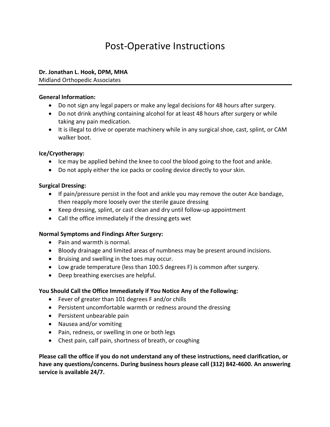# Post-Operative Instructions

#### **Dr. Jonathan L. Hook, DPM, MHA**

Midland Orthopedic Associates

#### **General Information:**

- Do not sign any legal papers or make any legal decisions for 48 hours after surgery.
- Do not drink anything containing alcohol for at least 48 hours after surgery or while taking any pain medication.
- It is illegal to drive or operate machinery while in any surgical shoe, cast, splint, or CAM walker boot.

# **Ice/Cryotherapy:**

- Ice may be applied behind the knee to cool the blood going to the foot and ankle.
- Do not apply either the ice packs or cooling device directly to your skin.

#### **Surgical Dressing:**

- If pain/pressure persist in the foot and ankle you may remove the outer Ace bandage, then reapply more loosely over the sterile gauze dressing
- Keep dressing, splint, or cast clean and dry until follow-up appointment
- Call the office immediately if the dressing gets wet

# **Normal Symptoms and Findings After Surgery:**

- Pain and warmth is normal.
- Bloody drainage and limited areas of numbness may be present around incisions.
- Bruising and swelling in the toes may occur.
- Low grade temperature (less than 100.5 degrees F) is common after surgery.
- Deep breathing exercises are helpful.

# **You Should Call the Office Immediately if You Notice Any of the Following:**

- Fever of greater than 101 degrees F and/or chills
- Persistent uncomfortable warmth or redness around the dressing
- Persistent unbearable pain
- Nausea and/or vomiting
- Pain, redness, or swelling in one or both legs
- Chest pain, calf pain, shortness of breath, or coughing

**Please call the office if you do not understand any of these instructions, need clarification, or have any questions/concerns. During business hours please call (312) 842-4600. An answering service is available 24/7.**